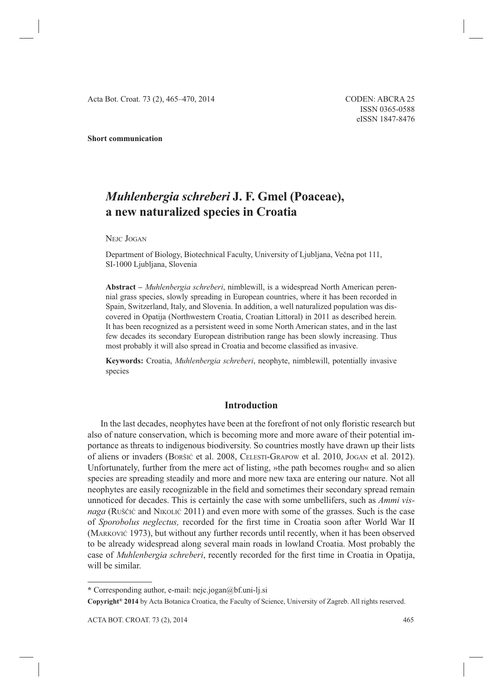**Short communication**

# *Muhlenbergia schreberi* **J. F. Gmel (Poaceae), a new naturalized species in Croatia**

NEJC JOGAN

Department of Biology, Biotechnical Faculty, University of Ljubljana, Večna pot 111, SI-1000 Ljubljana, Slovenia

**Abstract –** *Muhlenbergia schreberi*, nimblewill, is a widespread North American perennial grass species, slowly spreading in European countries, where it has been recorded in Spain, Switzerland, Italy, and Slovenia. In addition, a well naturalized population was discovered in Opatija (Northwestern Croatia, Croatian Littoral) in 2011 as described herein. It has been recognized as a persistent weed in some North American states, and in the last few decades its secondary European distribution range has been slowly increasing. Thus most probably it will also spread in Croatia and become classified as invasive.

**Keywords:** Croatia, *Muhlenbergia schreberi*, neophyte, nimblewill, potentially invasive species

## **Introduction**

In the last decades, neophytes have been at the forefront of not only floristic research but also of nature conservation, which is becoming more and more aware of their potential importance as threats to indigenous biodiversity. So countries mostly have drawn up their lists of aliens or invaders (BORŠIĆ et al. 2008, CELESTI-GRAPOW et al. 2010, JOGAN et al. 2012). Unfortunately, further from the mere act of listing, »the path becomes rough« and so alien species are spreading steadily and more and more new taxa are entering our nature. Not all neophytes are easily recognizable in the field and sometimes their secondary spread remain unnoticed for decades. This is certainly the case with some umbellifers, such as *Ammi visnaga* (RUŠČIĆ and NIKOLIĆ 2011) and even more with some of the grasses. Such is the case of *Sporobolus neglectus*, recorded for the first time in Croatia soon after World War II (MARKOVIĆ 1973), but without any further records until recently, when it has been observed to be already widespread along several main roads in lowland Croatia. Most probably the case of *Muhlenbergia schreberi*, recently recorded for the first time in Croatia in Opatija, will be similar.

**<sup>\*</sup>** Corresponding author, e-mail: nejc.jogan@bf.uni-lj.si

**Copyright® 2014** by Acta Botanica Croatica, the Faculty of Science, University of Zagreb. All rights reserved.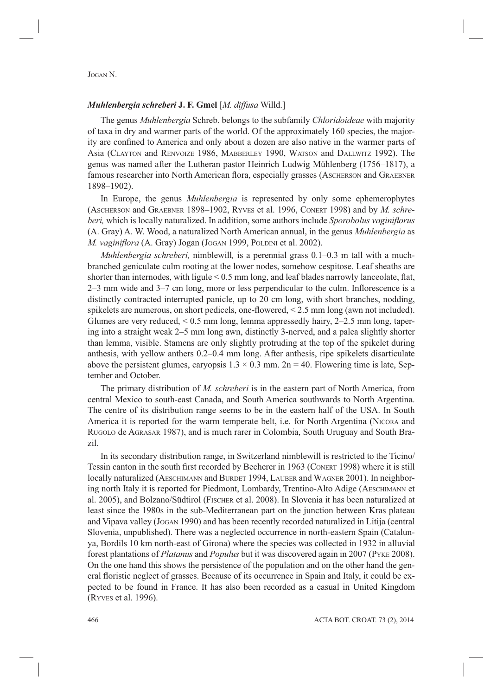### *Muhlenbergia schreberi* **J. F. Gmel** [*M. diffusa* Willd.]

The genus *Muhlenbergia* Schreb. belongs to the subfamily *Chloridoideae* with majority of taxa in dry and warmer parts of the world. Of the approximately 160 species, the majority are confined to America and only about a dozen are also native in the warmer parts of Asia (CLAYTON and RENVOIZE 1986, MABBERLEY 1990, WATSON and DALLWITZ 1992). The genus was named after the Lutheran pastor Heinrich Ludwig Mühlenberg (1756–1817), a famous researcher into North American flora, especially grasses (ASCHERSON and GRAEBNER 1898–1902).

In Europe, the genus *Muhlenbergia* is represented by only some ephemerophytes (ASCHERSON and GRAEBNER 1898–1902, RYVES et al. 1996, CONERT 1998) and by *M. schreberi,* which is locally naturalized. In addition, some authors include *Sporobolus vaginiflorus* (A. Gray) A. W. Wood, a naturalized North American annual, in the genus *Muhlenbergia* as *M. vaginiflora* (A. Gray) Jogan (Jogan 1999, Poldini et al. 2002).

*Muhlenbergia schreberi,* nimblewill*,* is a perennial grass 0.1–0.3 m tall with a muchbranched geniculate culm rooting at the lower nodes, somehow cespitose. Leaf sheaths are shorter than internodes, with ligule  $< 0.5$  mm long, and leaf blades narrowly lanceolate, flat,  $2-3$  mm wide and  $3-7$  cm long, more or less perpendicular to the culm. Inflorescence is a distinctly contracted interrupted panicle, up to 20 cm long, with short branches, nodding, spikelets are numerous, on short pedicels, one-flowered,  $\leq$  2.5 mm long (awn not included). Glumes are very reduced, < 0.5 mm long, lemma appressedly hairy, 2–2.5 mm long, tapering into a straight weak 2–5 mm long awn, distinctly 3-nerved, and a palea slightly shorter than lemma, visible. Stamens are only slightly protruding at the top of the spikelet during anthesis, with yellow anthers 0.2–0.4 mm long. After anthesis, ripe spikelets disarticulate above the persistent glumes, caryopsis  $1.3 \times 0.3$  mm.  $2n = 40$ . Flowering time is late, September and October.

The primary distribution of *M. schreberi* is in the eastern part of North America, from central Mexico to south-east Canada, and South America southwards to North Argentina. The centre of its distribution range seems to be in the eastern half of the USA. In South America it is reported for the warm temperate belt, i.e. for North Argentina (NICORA and RUGOLO de AGRASAR 1987), and is much rarer in Colombia, South Uruguay and South Brazil.

In its secondary distribution range, in Switzerland nimblewill is restricted to the Ticino/ Tessin canton in the south first recorded by Becherer in 1963 (CONERT 1998) where it is still locally naturalized (AESCHIMANN and BURDET 1994, LAUBER and WAGNER 2001). In neighboring north Italy it is reported for Piedmont, Lombardy, Trentino-Alto Adige (AESCHIMANN et al. 2005), and Bolzano/Südtirol (FISCHER et al. 2008). In Slovenia it has been naturalized at least since the 1980s in the sub-Mediterranean part on the junction between Kras plateau and Vipava valley (JOGAN 1990) and has been recently recorded naturalized in Litija (central Slovenia, unpublished). There was a neglected occurrence in north-eastern Spain (Catalunya, Bordils 10 km north-east of Girona) where the species was collected in 1932 in alluvial forest plantations of *Platanus* and *Populus* but it was discovered again in 2007 (PYKE 2008). On the one hand this shows the persistence of the population and on the other hand the general floristic neglect of grasses. Because of its occurrence in Spain and Italy, it could be expected to be found in France. It has also been recorded as a casual in United Kingdom (RYVES et al. 1996).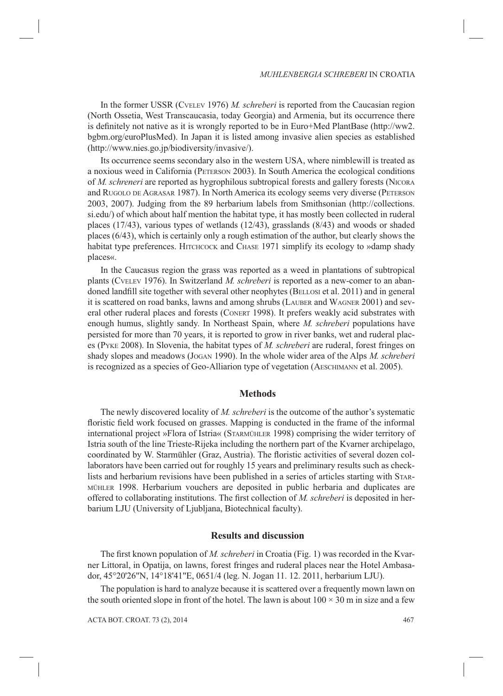In the former USSR (CVELEV 1976) *M. schreberi* is reported from the Caucasian region (North Ossetia, West Transcaucasia, today Georgia) and Armenia, but its occurrence there is definitely not native as it is wrongly reported to be in Euro+Med PlantBase (http://ww2. bgbm.org/euroPlusMed). In Japan it is listed among invasive alien species as established (http://www.nies.go.jp/biodiversity/invasive/).

Its occurrence seems secondary also in the western USA, where nimblewill is treated as a noxious weed in California (PETERSON 2003). In South America the ecological conditions of *M. schreneri* are reported as hygrophilous subtropical forests and gallery forests (NICORA and RUGOLO DE AGRASAR 1987). In North America its ecology seems very diverse (PETERSON 2003, 2007). Judging from the 89 herbarium labels from Smithsonian (http://collections. si.edu/) of which about half mention the habitat type, it has mostly been collected in ruderal places (17/43), various types of wetlands (12/43), grasslands (8/43) and woods or shaded places (6/43), which is certainly only a rough estimation of the author, but clearly shows the habitat type preferences. HITCHCOCK and CHASE 1971 simplify its ecology to »damp shady places«.

In the Caucasus region the grass was reported as a weed in plantations of subtropical plants (CVELEV 1976). In Switzerland *M. schreberi* is reported as a new-comer to an abandoned landfill site together with several other neophytes (BELLOSI et al. 2011) and in general it is scattered on road banks, lawns and among shrubs (LAUBER and WAGNER 2001) and several other ruderal places and forests (CONERT 1998). It prefers weakly acid substrates with enough humus, slightly sandy. In Northeast Spain, where *M. schreberi* populations have persisted for more than 70 years, it is reported to grow in river banks, wet and ruderal places (PYKE 2008). In Slovenia, the habitat types of *M. schreberi* are ruderal, forest fringes on shady slopes and meadows (JOGAN 1990). In the whole wider area of the Alps *M. schreberi* is recognized as a species of Geo-Alliarion type of vegetation (AESCHIMANN et al. 2005).

#### **Methods**

The newly discovered locality of *M. schreberi* is the outcome of the author's systematic floristic field work focused on grasses. Mapping is conducted in the frame of the informal international project »Flora of Istria« (STARMÜHLER 1998) comprising the wider territory of Istria south of the line Trieste-Rijeka including the northern part of the Kvarner archipelago, coordinated by W. Starmühler (Graz, Austria). The floristic activities of several dozen collaborators have been carried out for roughly 15 years and preliminary results such as checklists and herbarium revisions have been published in a series of articles starting with STAR-MÜHLER 1998. Herbarium vouchers are deposited in public herbaria and duplicates are offered to collaborating institutions. The first collection of *M. schreberi* is deposited in herbarium LJU (University of Ljubljana, Biotechnical faculty).

#### **Results and discussion**

The first known population of *M. schreberi* in Croatia (Fig. 1) was recorded in the Kvarner Littoral, in Opatija, on lawns, forest fringes and ruderal places near the Hotel Ambasador, 45°20'26"N, 14°18'41"E, 0651/4 (leg. N. Jogan 11. 12. 2011, herbarium LJU).

The population is hard to analyze because it is scattered over a frequently mown lawn on the south oriented slope in front of the hotel. The lawn is about  $100 \times 30$  m in size and a few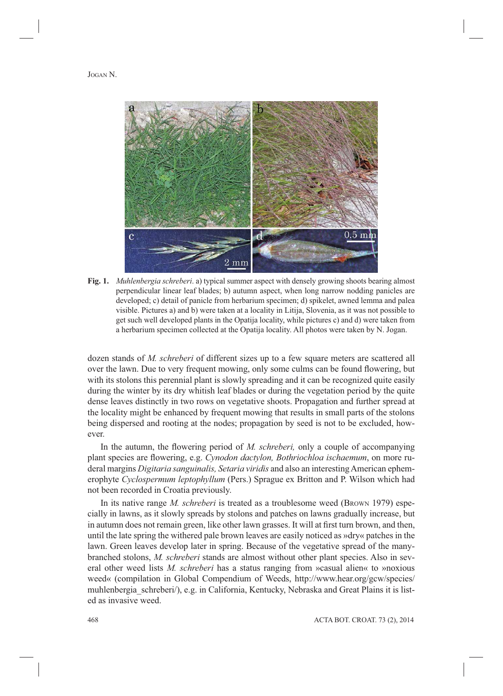

**Fig. 1.** *Muhlenbergia schreberi*. a) typical summer aspect with densely growing shoots bearing almost perpendicular linear leaf blades; b) autumn aspect, when long narrow nodding panicles are developed; c) detail of panicle from herbarium specimen; d) spikelet, awned lemma and palea visible. Pictures a) and b) were taken at a locality in Litija, Slovenia, as it was not possible to get such well developed plants in the Opatija locality, while pictures c) and d) were taken from a herbarium specimen collected at the Opatija locality. All photos were taken by N. Jogan.

dozen stands of *M. schreberi* of different sizes up to a few square meters are scattered all over the lawn. Due to very frequent mowing, only some culms can be found flowering, but with its stolons this perennial plant is slowly spreading and it can be recognized quite easily during the winter by its dry whitish leaf blades or during the vegetation period by the quite dense leaves distinctly in two rows on vegetative shoots. Propagation and further spread at the locality might be enhanced by frequent mowing that results in small parts of the stolons being dispersed and rooting at the nodes; propagation by seed is not to be excluded, however.

In the autumn, the flowering period of *M. schreberi*, only a couple of accompanying plant species are flowering, e.g. *Cynodon dactylon, Bothriochloa ischaemum*, on more ruderal margins *Digitaria sanguinalis, Setaria viridis* and also an interesting American ephemerophyte *Cyclospermum leptophyllum* (Pers.) Sprague ex Britton and P. Wilson which had not been recorded in Croatia previously.

In its native range *M. schreberi* is treated as a troublesome weed (BROWN 1979) especially in lawns, as it slowly spreads by stolons and patches on lawns gradually increase, but in autumn does not remain green, like other lawn grasses. It will at first turn brown, and then, until the late spring the withered pale brown leaves are easily noticed as »dry« patches in the lawn. Green leaves develop later in spring. Because of the vegetative spread of the manybranched stolons, *M. schreberi* stands are almost without other plant species. Also in several other weed lists *M. schreberi* has a status ranging from »casual alien« to »noxious weed« (compilation in Global Compendium of Weeds, http://www.hear.org/gcw/species/ muhlenbergia schreberi/), e.g. in California, Kentucky, Nebraska and Great Plains it is listed as invasive weed.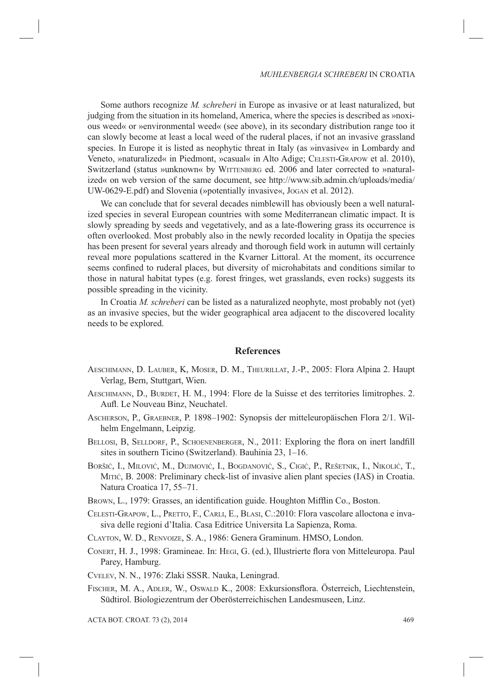Some authors recognize *M. schreberi* in Europe as invasive or at least naturalized, but judging from the situation in its homeland, America, where the species is described as »noxious weed« or »environmental weed« (see above), in its secondary distribution range too it can slowly become at least a local weed of the ruderal places, if not an invasive grassland species. In Europe it is listed as neophytic threat in Italy (as »invasive« in Lombardy and Veneto, »naturalized« in Piedmont, »casual« in Alto Adige; CELESTI-GRAPOW et al. 2010), Switzerland (status »unknown« by WITTENBERG ed. 2006 and later corrected to »naturalized« on web version of the same document, see http://www.sib.admin.ch/uploads/media/ UW-0629-E.pdf) and Slovenia (»potentially invasive«, JOGAN et al. 2012).

We can conclude that for several decades nimblewill has obviously been a well naturalized species in several European countries with some Mediterranean climatic impact. It is slowly spreading by seeds and vegetatively, and as a late-flowering grass its occurrence is often overlooked. Most probably also in the newly recorded locality in Opatija the species has been present for several years already and thorough field work in autumn will certainly reveal more populations scattered in the Kvarner Littoral. At the moment, its occurrence seems confined to ruderal places, but diversity of microhabitats and conditions similar to those in natural habitat types (e.g. forest fringes, wet grasslands, even rocks) suggests its possible spreading in the vicinity.

In Croatia *M. schreberi* can be listed as a naturalized neophyte, most probably not (yet) as an invasive species, but the wider geographical area adjacent to the discovered locality needs to be explored.

#### **References**

- AESCHIMANN, D. LAUBER, K, MOSER, D. M., THEURILLAT, J.-P., 2005: Flora Alpina 2. Haupt Verlag, Bern, Stuttgart, Wien.
- AESCHIMANN, D., BURDET, H. M., 1994: Flore de la Suisse et des territories limitrophes. 2. Aufl. Le Nouveau Binz, Neuchatel.
- ASCHERSON, P., GRAEBNER, P. 1898–1902: Synopsis der mitteleuropäischen Flora 2/1. Wilhelm Engelmann, Leipzig.
- BELLOSI, B, SELLDORF, P., SCHOENENBERGER, N., 2011: Exploring the flora on inert landfill sites in southern Ticino (Switzerland). Bauhinia 23, 1–16.
- BORŠIĆ, I., MILOVIĆ, M., DUJMOVIĆ, I., BOGDANOVIĆ, S., CIGIĆ, P., REŠETNIK, I., NIKOLIĆ, T., MITIĆ, B. 2008: Preliminary check-list of invasive alien plant species (IAS) in Croatia. Natura Croatica 17, 55–71.
- BROWN, L., 1979: Grasses, an identification guide. Houghton Mifflin Co., Boston.
- CELESTI-GRAPOW, L., PRETTO, F., CARLI, E., BLASI, C.:2010: Flora vascolare alloctona e invasiva delle regioni d'Italia. Casa Editrice Universita La Sapienza, Roma.
- CLAYTON, W. D., RENVOIZE, S. A., 1986: Genera Graminum. HMSO, London.
- CONERT, H. J., 1998: Gramineae. In: HEGI, G. (ed.), Illustrierte flora von Mitteleuropa. Paul Parey, Hamburg.
- CVELEV, N. N., 1976: Zlaki SSSR. Nauka, Leningrad.
- FISCHER, M. A., ADLER, W., OSWALD K., 2008: Exkursionsflora. Österreich, Liechtenstein, Südtirol. Biologiezentrum der Oberösterreichischen Landesmuseen, Linz.